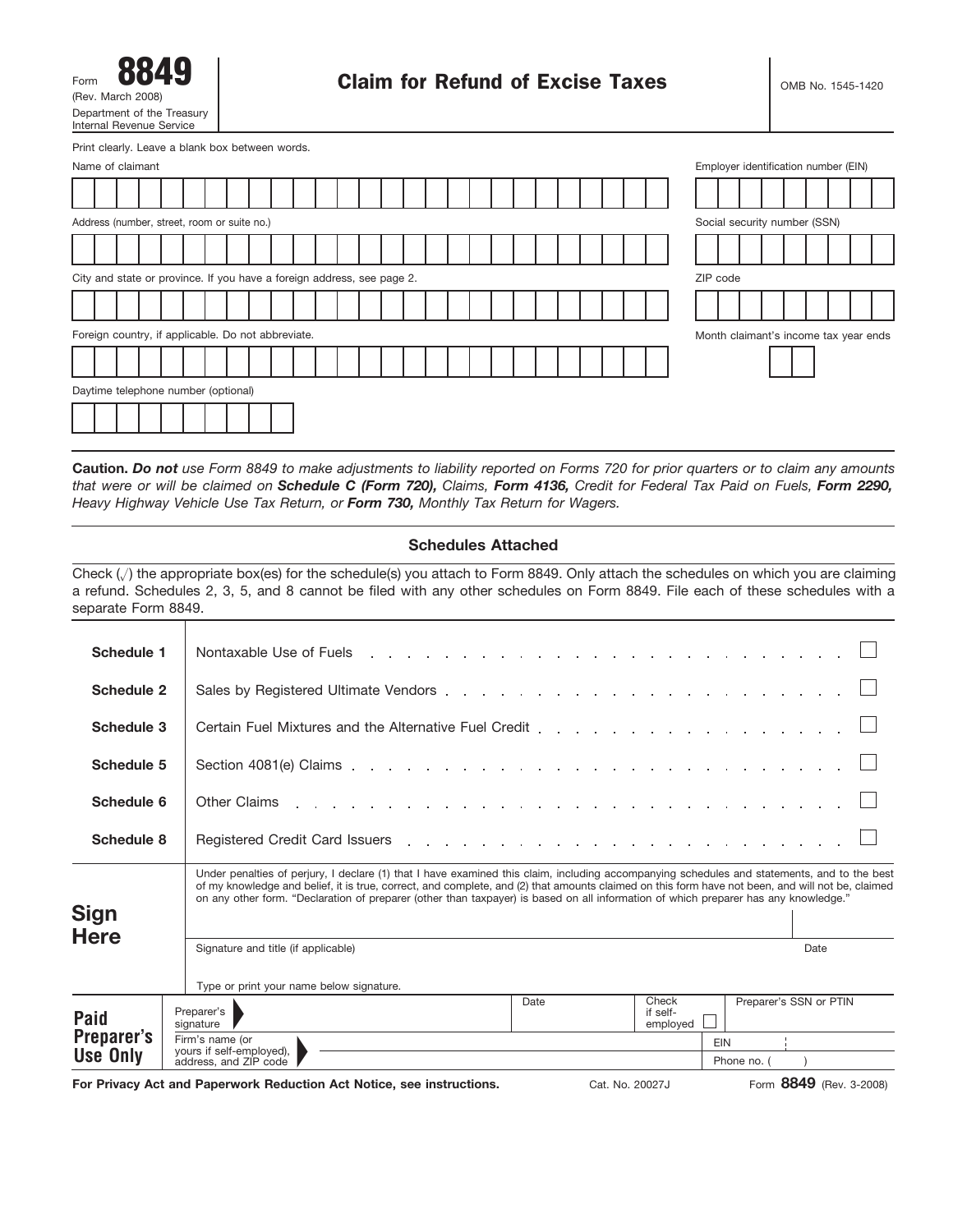| 8849<br>Form                                           |
|--------------------------------------------------------|
| (Rev. March 2008)                                      |
| Department of the Treasury<br>Internal Revenue Service |

Print clearly. Leave a blank box between words.

|                                                                        |  | Name of claimant                                   |  |  |  |  |  |  |  |  |  |  |  |  |                              |  |  |  |  |  |  |  |  | Employer identification number (EIN)  |  |  |  |  |  |
|------------------------------------------------------------------------|--|----------------------------------------------------|--|--|--|--|--|--|--|--|--|--|--|--|------------------------------|--|--|--|--|--|--|--|--|---------------------------------------|--|--|--|--|--|
|                                                                        |  |                                                    |  |  |  |  |  |  |  |  |  |  |  |  |                              |  |  |  |  |  |  |  |  |                                       |  |  |  |  |  |
| Address (number, street, room or suite no.)                            |  |                                                    |  |  |  |  |  |  |  |  |  |  |  |  | Social security number (SSN) |  |  |  |  |  |  |  |  |                                       |  |  |  |  |  |
|                                                                        |  |                                                    |  |  |  |  |  |  |  |  |  |  |  |  |                              |  |  |  |  |  |  |  |  |                                       |  |  |  |  |  |
| City and state or province. If you have a foreign address, see page 2. |  |                                                    |  |  |  |  |  |  |  |  |  |  |  |  | ZIP code                     |  |  |  |  |  |  |  |  |                                       |  |  |  |  |  |
|                                                                        |  |                                                    |  |  |  |  |  |  |  |  |  |  |  |  |                              |  |  |  |  |  |  |  |  |                                       |  |  |  |  |  |
|                                                                        |  | Foreign country, if applicable. Do not abbreviate. |  |  |  |  |  |  |  |  |  |  |  |  |                              |  |  |  |  |  |  |  |  | Month claimant's income tax year ends |  |  |  |  |  |
|                                                                        |  |                                                    |  |  |  |  |  |  |  |  |  |  |  |  |                              |  |  |  |  |  |  |  |  |                                       |  |  |  |  |  |
|                                                                        |  | Daytime telephone number (optional)                |  |  |  |  |  |  |  |  |  |  |  |  |                              |  |  |  |  |  |  |  |  |                                       |  |  |  |  |  |
|                                                                        |  |                                                    |  |  |  |  |  |  |  |  |  |  |  |  |                              |  |  |  |  |  |  |  |  |                                       |  |  |  |  |  |

**Caution.** *Do not use Form 8849 to make adjustments to liability reported on Forms 720 for prior quarters or to claim any amounts that were or will be claimed on Schedule C (Form 720), Claims, Form 4136, Credit for Federal Tax Paid on Fuels, Form 2290, Heavy Highway Vehicle Use Tax Return, or Form 730, Monthly Tax Return for Wagers.*

#### **Schedules Attached**

Check  $(\sqrt{ } )$  the appropriate box(es) for the schedule(s) you attach to Form 8849. Only attach the schedules on which you are claiming a refund. Schedules 2, 3, 5, and 8 cannot be filed with any other schedules on Form 8849. File each of these schedules with a separate Form 8849.

| Schedule 1      | Nontaxable Use of Fuels entering to the contract of the contract of the contract of the contract of the contract of the contract of the contract of the contract of the contract of the contract of the contract of the contra                                                                                                                                                                                                         |
|-----------------|----------------------------------------------------------------------------------------------------------------------------------------------------------------------------------------------------------------------------------------------------------------------------------------------------------------------------------------------------------------------------------------------------------------------------------------|
| Schedule 2      |                                                                                                                                                                                                                                                                                                                                                                                                                                        |
| Schedule 3      |                                                                                                                                                                                                                                                                                                                                                                                                                                        |
| Schedule 5      |                                                                                                                                                                                                                                                                                                                                                                                                                                        |
| Schedule 6      | Other Claims research and contact the contact of the contact and contact the contact of the contact of the contact of the contact of the contact of the contact of the contact of the contact of the contact of the contact of                                                                                                                                                                                                         |
| Schedule 8      | Registered Credit Card Issuers entering the contract of the contract of the contract of the contract of the contract of the contract of the contract of the contract of the contract of the contract of the contract of the co                                                                                                                                                                                                         |
| <b>Sign</b>     | Under penalties of perjury, I declare (1) that I have examined this claim, including accompanying schedules and statements, and to the best<br>of my knowledge and belief, it is true, correct, and complete, and (2) that amounts claimed on this form have not been, and will not be, claimed<br>on any other form. "Declaration of preparer (other than taxpayer) is based on all information of which preparer has any knowledge." |
| <b>Here</b>     | Signature and title (if applicable)<br>Date<br>Type or print your name below signature.                                                                                                                                                                                                                                                                                                                                                |
|                 | Check<br>Preparer's SSN or PTIN<br>Date                                                                                                                                                                                                                                                                                                                                                                                                |
| <b>Paid</b>     | Preparer's<br>if self-<br>employed<br>signature                                                                                                                                                                                                                                                                                                                                                                                        |
| Preparer's      | Firm's name (or<br>EIN                                                                                                                                                                                                                                                                                                                                                                                                                 |
| <b>Use Only</b> | yours if self-employed),<br>address, and ZIP code<br>Phone no. (                                                                                                                                                                                                                                                                                                                                                                       |
|                 |                                                                                                                                                                                                                                                                                                                                                                                                                                        |

**For Privacy Act and Paperwork Reduction Act Notice, see instructions.**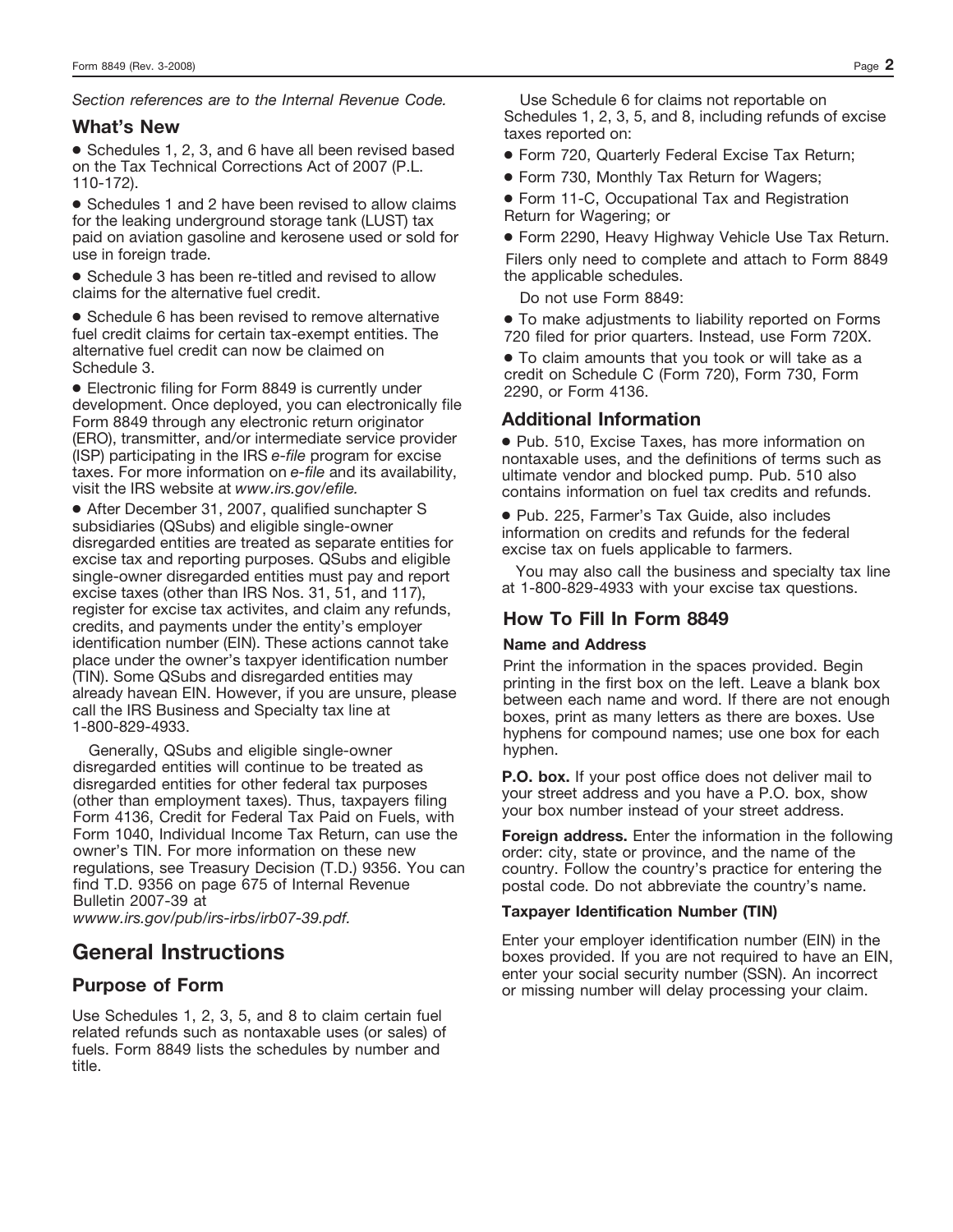*Section references are to the Internal Revenue Code.*

### **What's New**

● Schedules 1, 2, 3, and 6 have all been revised based on the Tax Technical Corrections Act of 2007 (P.L. 110-172).

● Schedules 1 and 2 have been revised to allow claims for the leaking underground storage tank (LUST) tax paid on aviation gasoline and kerosene used or sold for use in foreign trade.

● Schedule 3 has been re-titled and revised to allow claims for the alternative fuel credit.

● Schedule 6 has been revised to remove alternative fuel credit claims for certain tax-exempt entities. The alternative fuel credit can now be claimed on Schedule 3.

● Electronic filing for Form 8849 is currently under development. Once deployed, you can electronically file Form 8849 through any electronic return originator (ERO), transmitter, and/or intermediate service provider (ISP) participating in the IRS *e-file* program for excise taxes. For more information on *e-file* and its availability, visit the IRS website at *www.irs.gov/efile.*

● After December 31, 2007, qualified sunchapter S subsidiaries (QSubs) and eligible single-owner disregarded entities are treated as separate entities for excise tax and reporting purposes. QSubs and eligible single-owner disregarded entities must pay and report excise taxes (other than IRS Nos. 31, 51, and 117), register for excise tax activites, and claim any refunds, credits, and payments under the entity's employer identification number (EIN). These actions cannot take place under the owner's taxpyer identification number (TIN). Some QSubs and disregarded entities may already havean EIN. However, if you are unsure, please call the IRS Business and Specialty tax line at 1-800-829-4933.

Generally, QSubs and eligible single-owner disregarded entities will continue to be treated as disregarded entities for other federal tax purposes (other than employment taxes). Thus, taxpayers filing Form 4136, Credit for Federal Tax Paid on Fuels, with Form 1040, Individual Income Tax Return, can use the owner's TIN. For more information on these new regulations, see Treasury Decision (T.D.) 9356. You can find T.D. 9356 on page 675 of Internal Revenue Bulletin 2007-39 at

*wwww.irs.gov/pub/irs-irbs/irb07-39.pdf.*

# **General Instructions**

# **Purpose of Form**

Use Schedules 1, 2, 3, 5, and 8 to claim certain fuel related refunds such as nontaxable uses (or sales) of fuels. Form 8849 lists the schedules by number and title.

Use Schedule 6 for claims not reportable on Schedules 1, 2, 3, 5, and 8, including refunds of excise taxes reported on:

● Form 720, Quarterly Federal Excise Tax Return;

● Form 730, Monthly Tax Return for Wagers;

● Form 11-C, Occupational Tax and Registration Return for Wagering; or

● Form 2290, Heavy Highway Vehicle Use Tax Return.

Filers only need to complete and attach to Form 8849 the applicable schedules.

Do not use Form 8849:

● To make adjustments to liability reported on Forms 720 filed for prior quarters. Instead, use Form 720X.

● To claim amounts that you took or will take as a credit on Schedule C (Form 720), Form 730, Form 2290, or Form 4136.

## **Additional Information**

● Pub. 510, Excise Taxes, has more information on nontaxable uses, and the definitions of terms such as ultimate vendor and blocked pump. Pub. 510 also contains information on fuel tax credits and refunds.

● Pub. 225, Farmer's Tax Guide, also includes information on credits and refunds for the federal excise tax on fuels applicable to farmers.

You may also call the business and specialty tax line at 1-800-829-4933 with your excise tax questions.

## **How To Fill In Form 8849**

#### **Name and Address**

Print the information in the spaces provided. Begin printing in the first box on the left. Leave a blank box between each name and word. If there are not enough boxes, print as many letters as there are boxes. Use hyphens for compound names; use one box for each hyphen.

**P.O. box.** If your post office does not deliver mail to your street address and you have a P.O. box, show your box number instead of your street address.

**Foreign address.** Enter the information in the following order: city, state or province, and the name of the country. Follow the country's practice for entering the postal code. Do not abbreviate the country's name.

#### **Taxpayer Identification Number (TIN)**

Enter your employer identification number (EIN) in the boxes provided. If you are not required to have an EIN, enter your social security number (SSN). An incorrect or missing number will delay processing your claim.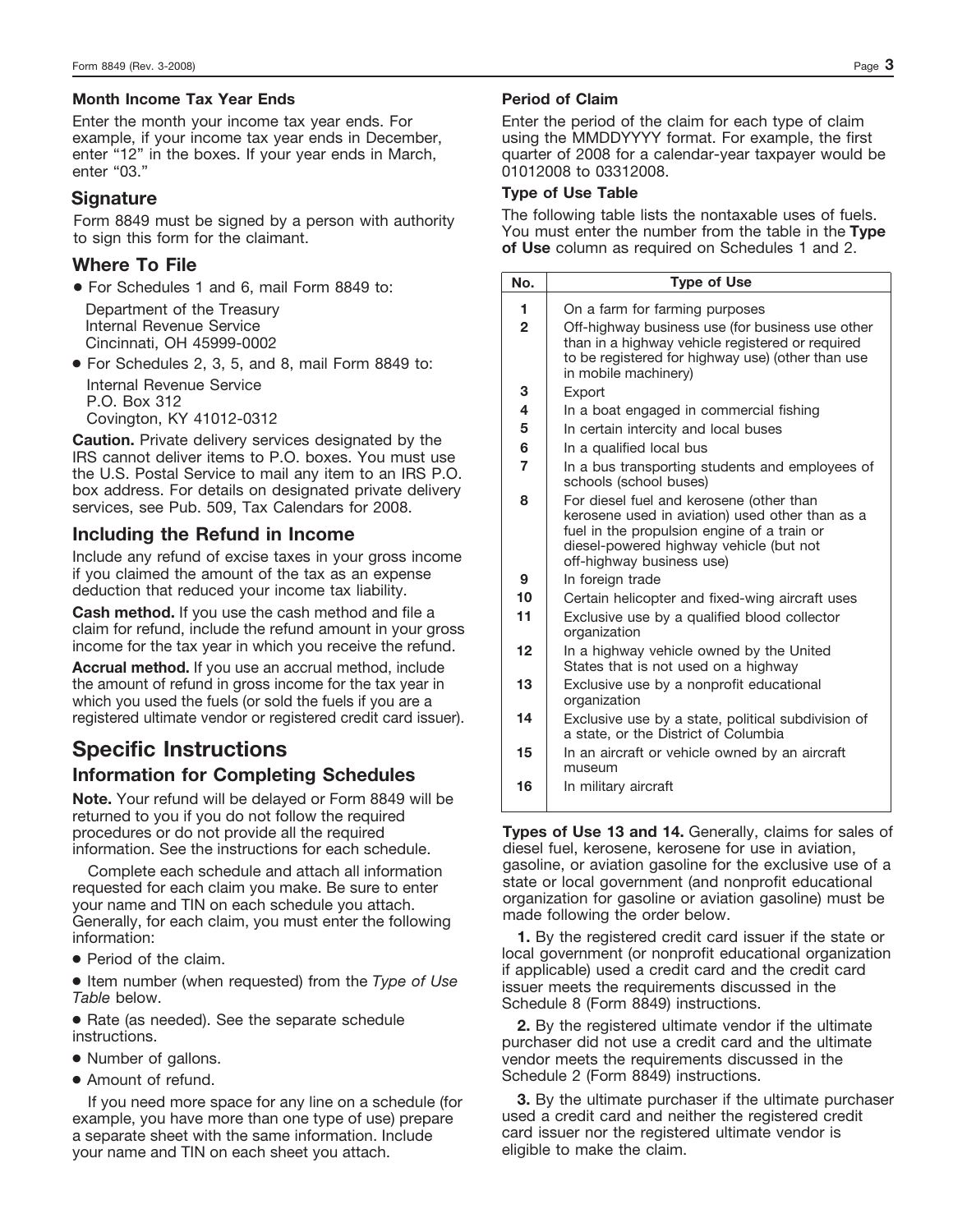## **Month Income Tax Year Ends**

Enter the month your income tax year ends. For example, if your income tax year ends in December, enter "12" in the boxes. If your year ends in March, enter "03."

# **Signature**

Form 8849 must be signed by a person with authority to sign this form for the claimant.

# **Where To File**

● For Schedules 1 and 6, mail Form 8849 to: Department of the Treasury Internal Revenue Service Cincinnati, OH 45999-0002

● For Schedules 2, 3, 5, and 8, mail Form 8849 to: Internal Revenue Service P.O. Box 312 Covington, KY 41012-0312

**Caution.** Private delivery services designated by the IRS cannot deliver items to P.O. boxes. You must use the U.S. Postal Service to mail any item to an IRS P.O. box address. For details on designated private delivery services, see Pub. 509, Tax Calendars for 2008.

# **Including the Refund in Income**

Include any refund of excise taxes in your gross income if you claimed the amount of the tax as an expense deduction that reduced your income tax liability.

**Cash method.** If you use the cash method and file a claim for refund, include the refund amount in your gross income for the tax year in which you receive the refund.

**Accrual method.** If you use an accrual method, include the amount of refund in gross income for the tax year in which you used the fuels (or sold the fuels if you are a registered ultimate vendor or registered credit card issuer).

# **Information for Completing Schedules Specific Instructions**

**Note.** Your refund will be delayed or Form 8849 will be returned to you if you do not follow the required procedures or do not provide all the required information. See the instructions for each schedule.

Complete each schedule and attach all information requested for each claim you make. Be sure to enter your name and TIN on each schedule you attach. Generally, for each claim, you must enter the following information:

● Period of the claim.

● Item number (when requested) from the *Type of Use Table* below.

● Rate (as needed). See the separate schedule instructions.

- Number of gallons.
- Amount of refund.

If you need more space for any line on a schedule (for example, you have more than one type of use) prepare a separate sheet with the same information. Include your name and TIN on each sheet you attach.

### **Period of Claim**

Enter the period of the claim for each type of claim using the MMDDYYYY format. For example, the first quarter of 2008 for a calendar-year taxpayer would be 01012008 to 03312008.

### **Type of Use Table**

The following table lists the nontaxable uses of fuels. You must enter the number from the table in the **Type of Use** column as required on Schedules 1 and 2.

| No.            | <b>Type of Use</b>                                                                                                                                                                                                 |
|----------------|--------------------------------------------------------------------------------------------------------------------------------------------------------------------------------------------------------------------|
| 1              | On a farm for farming purposes                                                                                                                                                                                     |
| $\overline{2}$ | Off-highway business use (for business use other<br>than in a highway vehicle registered or reguired<br>to be registered for highway use) (other than use<br>in mobile machinery)                                  |
| 3              | Export                                                                                                                                                                                                             |
| 4              | In a boat engaged in commercial fishing                                                                                                                                                                            |
| 5              | In certain intercity and local buses                                                                                                                                                                               |
| 6              | In a qualified local bus                                                                                                                                                                                           |
| 7              | In a bus transporting students and employees of<br>schools (school buses)                                                                                                                                          |
| 8              | For diesel fuel and kerosene (other than<br>kerosene used in aviation) used other than as a<br>fuel in the propulsion engine of a train or<br>diesel-powered highway vehicle (but not<br>off-highway business use) |
| 9              | In foreign trade                                                                                                                                                                                                   |
| 10             | Certain helicopter and fixed-wing aircraft uses                                                                                                                                                                    |
| 11             | Exclusive use by a qualified blood collector<br>organization                                                                                                                                                       |
| 12             | In a highway vehicle owned by the United<br>States that is not used on a highway                                                                                                                                   |
| 13             | Exclusive use by a nonprofit educational<br>organization                                                                                                                                                           |
| 14             | Exclusive use by a state, political subdivision of<br>a state, or the District of Columbia                                                                                                                         |
| 15             | In an aircraft or vehicle owned by an aircraft<br>museum                                                                                                                                                           |
| 16             | In military aircraft                                                                                                                                                                                               |
|                |                                                                                                                                                                                                                    |

**Types of Use 13 and 14.** Generally, claims for sales of diesel fuel, kerosene, kerosene for use in aviation, gasoline, or aviation gasoline for the exclusive use of a state or local government (and nonprofit educational organization for gasoline or aviation gasoline) must be made following the order below.

**1.** By the registered credit card issuer if the state or local government (or nonprofit educational organization if applicable) used a credit card and the credit card issuer meets the requirements discussed in the Schedule 8 (Form 8849) instructions.

**2.** By the registered ultimate vendor if the ultimate purchaser did not use a credit card and the ultimate vendor meets the requirements discussed in the Schedule 2 (Form 8849) instructions.

**3.** By the ultimate purchaser if the ultimate purchaser used a credit card and neither the registered credit card issuer nor the registered ultimate vendor is eligible to make the claim.